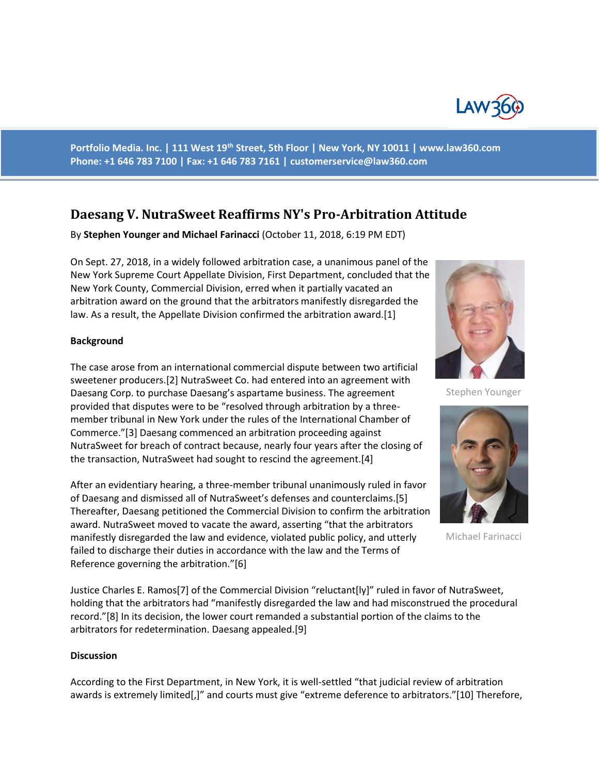

**Portfolio Media. Inc. | 111 West 19th Street, 5th Floor | New York, NY 10011 | www.law360.com Phone: +1 646 783 7100 | Fax: +1 646 783 7161 | [customerservice@law360.com](mailto:customerservice@law360.com)**

## **Daesang V. NutraSweet Reaffirms NY's Pro-Arbitration Attitude**

By **Stephen Younger and Michael Farinacci** (October 11, 2018, 6:19 PM EDT)

On Sept. 27, 2018, in a widely followed arbitration case, a unanimous panel of the New York Supreme Court Appellate Division, First Department, concluded that the New York County, Commercial Division, erred when it partially vacated an arbitration award on the ground that the arbitrators manifestly disregarded the law. As a result, the Appellate Division confirmed the arbitration award.[1]

## **Background**

The case arose from an international commercial dispute between two artificial sweetener producers.[2] NutraSweet Co. had entered into an agreement with Daesang Corp. to purchase Daesang's aspartame business. The agreement provided that disputes were to be "resolved through arbitration by a threemember tribunal in New York under the rules of the International Chamber of Commerce."[3] Daesang commenced an arbitration proceeding against NutraSweet for breach of contract because, nearly four years after the closing of the transaction, NutraSweet had sought to rescind the agreement.[4]

After an evidentiary hearing, a three-member tribunal unanimously ruled in favor of Daesang and dismissed all of NutraSweet's defenses and counterclaims.[5] Thereafter, Daesang petitioned the Commercial Division to confirm the arbitration award. NutraSweet moved to vacate the award, asserting "that the arbitrators manifestly disregarded the law and evidence, violated public policy, and utterly failed to discharge their duties in accordance with the law and the Terms of Reference governing the arbitration."[6]

Justice Charles E. Ramos[7] of the Commercial Division "reluctant[ly]" ruled in favor of NutraSweet, holding that the arbitrators had "manifestly disregarded the law and had misconstrued the procedural record."[8] In its decision, the lower court remanded a substantial portion of the claims to the arbitrators for redetermination. Daesang appealed.[9]

## **Discussion**

According to the First Department, in New York, it is well-settled "that judicial review of arbitration awards is extremely limited[,]" and courts must give "extreme deference to arbitrators."[10] Therefore,



Stephen Younger



Michael Farinacci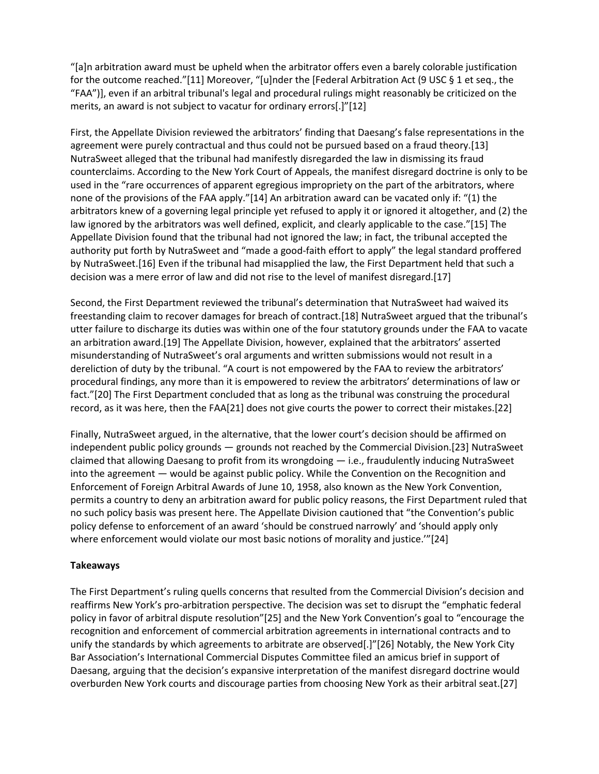"[a]n arbitration award must be upheld when the arbitrator offers even a barely colorable justification for the outcome reached."[11] Moreover, "[u]nder the [Federal Arbitration Act (9 USC § 1 et seq., the "FAA")], even if an arbitral tribunal's legal and procedural rulings might reasonably be criticized on the merits, an award is not subject to vacatur for ordinary errors[.]"[12]

First, the Appellate Division reviewed the arbitrators' finding that Daesang's false representations in the agreement were purely contractual and thus could not be pursued based on a fraud theory.[13] NutraSweet alleged that the tribunal had manifestly disregarded the law in dismissing its fraud counterclaims. According to the New York Court of Appeals, the manifest disregard doctrine is only to be used in the "rare occurrences of apparent egregious impropriety on the part of the arbitrators, where none of the provisions of the FAA apply."[14] An arbitration award can be vacated only if: "(1) the arbitrators knew of a governing legal principle yet refused to apply it or ignored it altogether, and (2) the law ignored by the arbitrators was well defined, explicit, and clearly applicable to the case."[15] The Appellate Division found that the tribunal had not ignored the law; in fact, the tribunal accepted the authority put forth by NutraSweet and "made a good-faith effort to apply" the legal standard proffered by NutraSweet.[16] Even if the tribunal had misapplied the law, the First Department held that such a decision was a mere error of law and did not rise to the level of manifest disregard.[17]

Second, the First Department reviewed the tribunal's determination that NutraSweet had waived its freestanding claim to recover damages for breach of contract.[18] NutraSweet argued that the tribunal's utter failure to discharge its duties was within one of the four statutory grounds under the FAA to vacate an arbitration award.[19] The Appellate Division, however, explained that the arbitrators' asserted misunderstanding of NutraSweet's oral arguments and written submissions would not result in a dereliction of duty by the tribunal. "A court is not empowered by the FAA to review the arbitrators' procedural findings, any more than it is empowered to review the arbitrators' determinations of law or fact."[20] The First Department concluded that as long as the tribunal was construing the procedural record, as it was here, then the FAA[21] does not give courts the power to correct their mistakes.[22]

Finally, NutraSweet argued, in the alternative, that the lower court's decision should be affirmed on independent public policy grounds — grounds not reached by the Commercial Division.[23] NutraSweet claimed that allowing Daesang to profit from its wrongdoing — i.e., fraudulently inducing NutraSweet into the agreement — would be against public policy. While the Convention on the Recognition and Enforcement of Foreign Arbitral Awards of June 10, 1958, also known as the New York Convention, permits a country to deny an arbitration award for public policy reasons, the First Department ruled that no such policy basis was present here. The Appellate Division cautioned that "the Convention's public policy defense to enforcement of an award 'should be construed narrowly' and 'should apply only where enforcement would violate our most basic notions of morality and justice.'"[24]

## **Takeaways**

The First Department's ruling quells concerns that resulted from the Commercial Division's decision and reaffirms New York's pro-arbitration perspective. The decision was set to disrupt the "emphatic federal policy in favor of arbitral dispute resolution"[25] and the New York Convention's goal to "encourage the recognition and enforcement of commercial arbitration agreements in international contracts and to unify the standards by which agreements to arbitrate are observed[.]"[26] Notably, the New York City Bar Association's International Commercial Disputes Committee filed an amicus brief in support of Daesang, arguing that the decision's expansive interpretation of the manifest disregard doctrine would overburden New York courts and discourage parties from choosing New York as their arbitral seat.[27]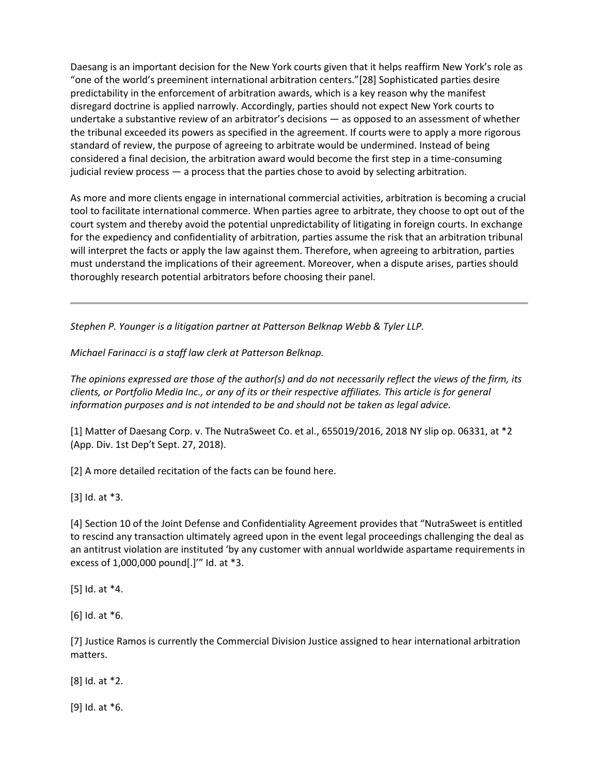Daesang is an important decision for the New York courts given that it helps reaffirm New York's role as "one of the world's preeminent international arbitration centers."[28] Sophisticated parties desire predictability in the enforcement of arbitration awards, which is a key reason why the manifest disregard doctrine is applied narrowly. Accordingly, parties should not expect New York courts to undertake a substantive review of an arbitrator's decisions — as opposed to an assessment of whether the tribunal exceeded its powers as specified in the agreement. If courts were to apply a more rigorous standard of review, the purpose of agreeing to arbitrate would be undermined. Instead of being considered a final decision, the arbitration award would become the first step in a time-consuming judicial review process — a process that the parties chose to avoid by selecting arbitration.

As more and more clients engage in international commercial activities, arbitration is becoming a crucial tool to facilitate international commerce. When parties agree to arbitrate, they choose to opt out of the court system and thereby avoid the potential unpredictability of litigating in foreign courts. In exchange for the expediency and confidentiality of arbitration, parties assume the risk that an arbitration tribunal will interpret the facts or apply the law against them. Therefore, when agreeing to arbitration, parties must understand the implications of their agreement. Moreover, when a dispute arises, parties should thoroughly research potential arbitrators before choosing their panel.

*Stephen P. Younger is a litigation partner at Patterson Belknap Webb & Tyler LLP.*

*Michael Farinacci is a staff law clerk at Patterson Belknap.*

*The opinions expressed are those of the author(s) and do not necessarily reflect the views of the firm, its clients, or Portfolio Media Inc., or any of its or their respective affiliates. This article is for general information purposes and is not intended to be and should not be taken as legal advice.*

[1] Matter of Daesang Corp. v. The NutraSweet Co. et al., 655019/2016, 2018 NY slip op. 06331, at \*2 (App. Div. 1st Dep't Sept. 27, 2018).

[2] A more detailed recitation of the facts can be found here.

[3] Id. at \*3.

[4] Section 10 of the Joint Defense and Confidentiality Agreement provides that "NutraSweet is entitled to rescind any transaction ultimately agreed upon in the event legal proceedings challenging the deal as an antitrust violation are instituted 'by any customer with annual worldwide aspartame requirements in excess of 1,000,000 pound[.]'" Id. at \*3.

[5] Id. at \*4.

[6] Id. at \*6.

[7] Justice Ramos is currently the Commercial Division Justice assigned to hear international arbitration matters.

[8] Id. at \*2.

[9] Id. at \*6.